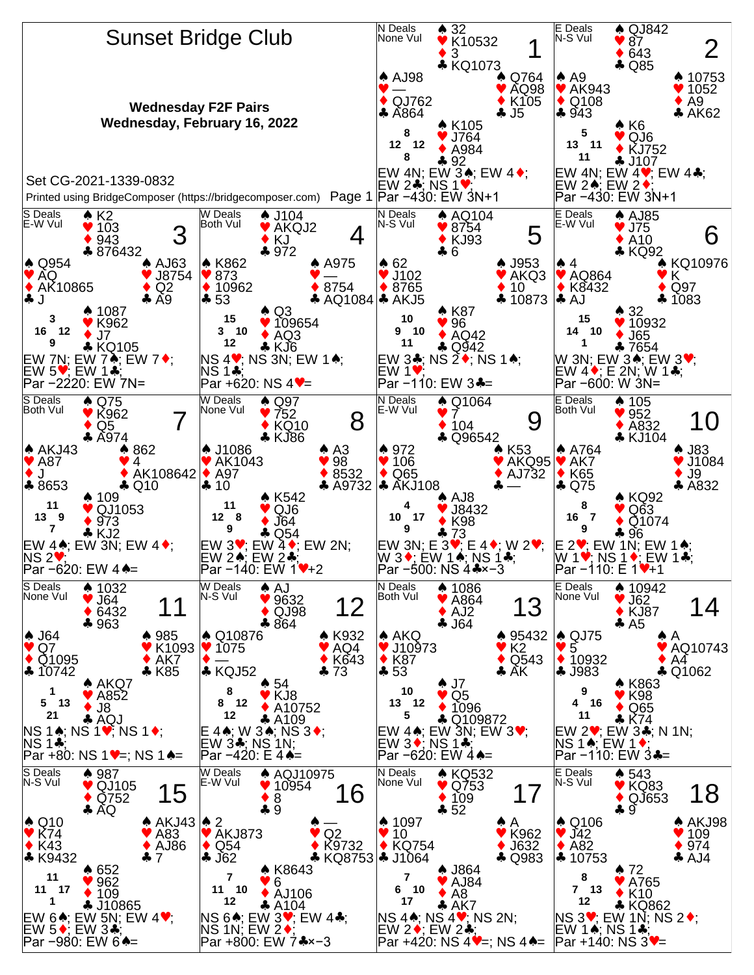